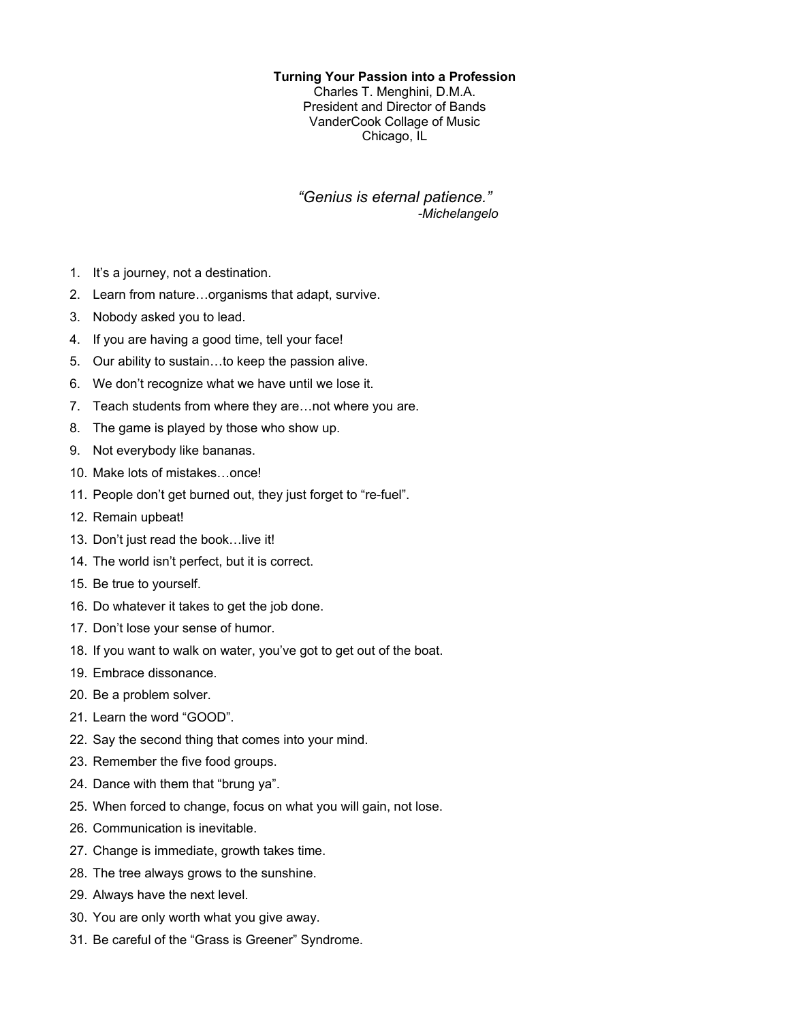## **Turning Your Passion into a Profession**

Charles T. Menghini, D.M.A. President and Director of Bands VanderCook Collage of Music Chicago, IL

## *"Genius is eternal patience." -Michelangelo*

- 1. It's a journey, not a destination.
- 2. Learn from nature…organisms that adapt, survive.
- 3. Nobody asked you to lead.
- 4. If you are having a good time, tell your face!
- 5. Our ability to sustain…to keep the passion alive.
- 6. We don't recognize what we have until we lose it.
- 7. Teach students from where they are…not where you are.
- 8. The game is played by those who show up.
- 9. Not everybody like bananas.
- 10. Make lots of mistakes…once!
- 11. People don't get burned out, they just forget to "re-fuel".
- 12. Remain upbeat!
- 13. Don't just read the book…live it!
- 14. The world isn't perfect, but it is correct.
- 15. Be true to yourself.
- 16. Do whatever it takes to get the job done.
- 17. Don't lose your sense of humor.
- 18. If you want to walk on water, you've got to get out of the boat.
- 19. Embrace dissonance.
- 20. Be a problem solver.
- 21. Learn the word "GOOD".
- 22. Say the second thing that comes into your mind.
- 23. Remember the five food groups.
- 24. Dance with them that "brung ya".
- 25. When forced to change, focus on what you will gain, not lose.
- 26. Communication is inevitable.
- 27. Change is immediate, growth takes time.
- 28. The tree always grows to the sunshine.
- 29. Always have the next level.
- 30. You are only worth what you give away.
- 31. Be careful of the "Grass is Greener" Syndrome.